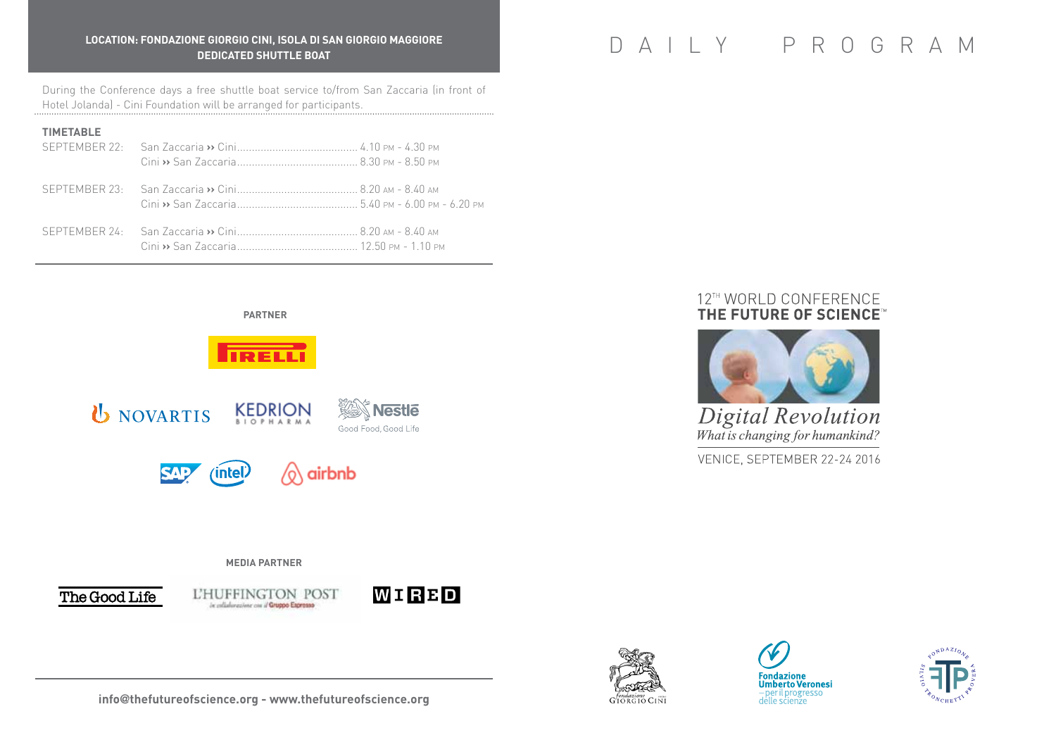# **LOCATION: FONDAZIONE GIORGIO CINI, ISOLA DI SAN GIORGIO MAGGIORE** RE GIORGIO CINI, ISO<mark>LA DI SAN GIORGIO MAGGIORE</mark><br>DEDICATED SHUTTLE BOAT

During the Conference days a free shuttle boat service to/from San Zaccaria (in front of Hotel Jolanda) - Cini Foundation will be arranged for participants.

# **TIMETABLE**

 **PARTNER**



# **media partner**



L'HUFFINGTON POST in collaboratione con il Gruppo Espresso





# 12™ WORLD CONFERENCE THE FUTURE OF SCIENCE"



**Digital Revolution** What is changing for humankind?

VENICE, SEPTEMBER 22-24 2016







**info**@**thefutureofscience.org - www.thefutureofscience.org**